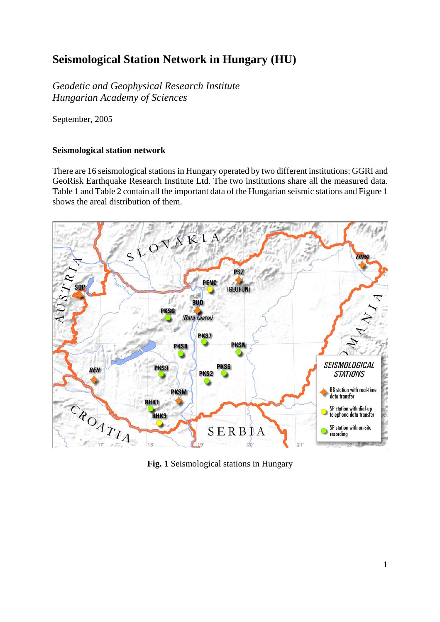## **Seismological Station Network in Hungary (HU)**

*Geodetic and Geophysical Research Institute Hungarian Academy of Sciences* 

September, 2005

## **Seismological station network**

There are 16 seismological stations in Hungary operated by two different institutions: GGRI and GeoRisk Earthquake Research Institute Ltd. The two institutions share all the measured data. Table 1 and Table 2 contain all the important data of the Hungarian seismic stations and Figure 1 shows the areal distribution of them.



**Fig. 1** Seismological stations in Hungary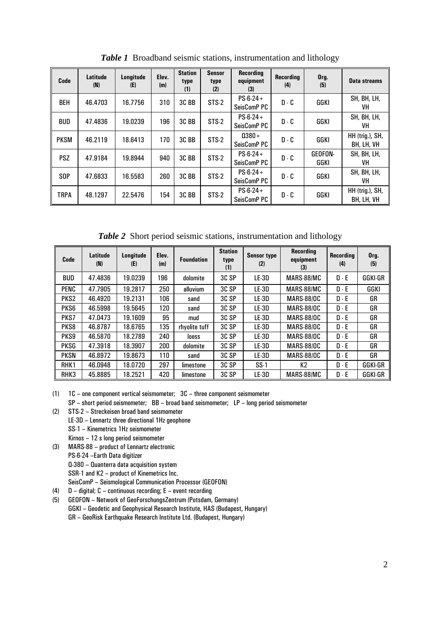| Code            | Latitude<br>(N) | Longitude<br>(E) | Elev.<br>(m) | <b>Station</b><br>type<br>(1) | Sensor<br>type<br>(2) | <b>Recording</b><br>equipment<br>(3) | <b>Recording</b><br>(4) | Org.<br>(5)     | Data streams                  |
|-----------------|-----------------|------------------|--------------|-------------------------------|-----------------------|--------------------------------------|-------------------------|-----------------|-------------------------------|
| <b>BEH</b>      | 46.4703         | 16.7756          | 310          | 3C <sub>BB</sub>              | STS-2                 | $PS-6-24+$<br>SeisComP PC            | $D - C$                 | GGKI            | SH, BH, LH,<br>VH             |
| <b>BUD</b>      | 47.4836         | 19.0239          | 196          | 3C <sub>BB</sub>              | STS-2                 | $PS-6-24+$<br>SeisComP PC            | $D - C$                 | GGKI            | SH, BH, LH,<br>VH             |
| <b>PKSM</b>     | 46.2119         | 18.6413          | 170          | 3C <sub>BB</sub>              | STS-2                 | $0380 +$<br>SeisComP PC              | $D - C$                 | GGKI            | HH (trig.), SH,<br>BH, LH, VH |
| <b>PSZ</b>      | 47.9184         | 19.8944          | 940          | 3C <sub>BB</sub>              | STS-2                 | $PS-6-24+$<br>SeisComP PC            | $D - C$                 | GEOFON-<br>GGKI | SH, BH, LH,<br>VH             |
| S <sub>OP</sub> | 47.6833         | 16.5583          | 260          | 3C <sub>BB</sub>              | $STS-2$               | $PS-6-24+$<br>SeisComP PC            | $D - C$                 | GGKI            | SH, BH, LH,<br>VH             |
| <b>TRPA</b>     | 48.1297         | 22.5476          | 154          | 3C <sub>BB</sub>              | STS-2                 | $PS-6-24+$<br>SeisComP PC            | $D - C$                 | GGKI            | HH (trig.), SH,<br>BH, LH, VH |

*Table 1* Broadband seismic stations, instrumentation and lithology

*Table 2* Short period seismic stations, instrumentation and lithology

| Code             | Latitude<br>(N) | Longitude<br>(E) | Elev.<br>(m) | <b>Foundation</b> | <b>Station</b><br>type<br>(1) | <b>Sensor type</b><br>(2) | <b>Recording</b><br>equipment<br>(3) | <b>Recordina</b><br>(4) | Org.<br>(5) |
|------------------|-----------------|------------------|--------------|-------------------|-------------------------------|---------------------------|--------------------------------------|-------------------------|-------------|
| <b>BUD</b>       | 47.4836         | 19.0239          | 196          | dolomite          | 3C SP                         | LE-3D                     | MARS-88/MC                           | $D - E$                 | GGKI-GR     |
| PENC             | 47.7905         | 19.2817          | 250          | alluvium          | 3C SP                         | $LE-3D$                   | MARS-88/MC                           | $D - E$                 | GGKI        |
| PKS <sub>2</sub> | 46.4920         | 19.2131          | 106          | sand              | 3C SP                         | $LE-3D$                   | <b>MARS-88/OC</b>                    | $D - E$                 | GR          |
| PKS6             | 46.5998         | 19.5645          | 120          | sand              | 3C SP                         | $LE-3D$                   | <b>MARS-88/OC</b>                    | $D - E$                 | GR          |
| PKS7             | 47.0473         | 19.1609          | 95           | mud               | 3C SP                         | $LE-3D$                   | <b>MARS-88/OC</b>                    | $D - E$                 | GR          |
| PKS8             | 46.8787         | 18.6765          | 135          | rhyolite tuff     | 3C SP                         | $LE-3D$                   | <b>MARS-88/OC</b>                    | $D - E$                 | GR          |
| PKS9             | 46.5870         | 18.2789          | 240          | <b>loess</b>      | 3C SP                         | $LE-3D$                   | <b>MARS-88/OC</b>                    | $D - E$                 | GR          |
| <b>PKSG</b>      | 47.3918         | 18.3907          | 200          | dolomite          | 3C SP                         | LE-3D                     | <b>MARS-88/OC</b>                    | $D - E$                 | GR          |
| <b>PKSN</b>      | 46.8972         | 19.8673          | 110          | sand              | 3C SP                         | LE-3D                     | <b>MARS-88/OC</b>                    | $D - E$                 | GR          |
| RHK1             | 46.0948         | 18.0720          | 297          | limestone         | 3C SP                         | $SS-1$                    | K2                                   | $D - E$                 | GGKI-GR     |
| RHK3             | 45.8885         | 18.2521          | 420          | limestone         | 3C SP                         | $LE-3D$                   | MARS-88/MC                           | $D - E$                 | GGKI-GR     |

(1) 1C – one component vertical seismometer; 3C – three component seismometer

SP – short period seismometer; BB – broad band seismometer; LP – long period seismometer

(2) STS-2 – Streckeisen broad band seismometer

LE-3D – Lennartz three directional 1Hz geophone

SS-1 – Kinemetrics 1Hz seismometer

- Kirnos 12 s long period seismometer
- (3) MARS-88 product of Lennartz electronic PS-6-24 –Earth Data digitizer Q-380 – Quanterra data acquisition system SSR-1 and K2 – product of Kinemetrics Inc. SeisComP – Seismological Communication Processor (GEOFON)
- (4)  $D -$  digital;  $C -$  continuous recording;  $E -$  event recording
- (5) GEOFON Network of GeoForschungsZentrum (Potsdam, Germany) GGKI – Geodetic and Geophysical Research Institute, HAS (Budapest, Hungary) GR – GeoRisk Earthquake Research Institute Ltd. (Budapest, Hungary)